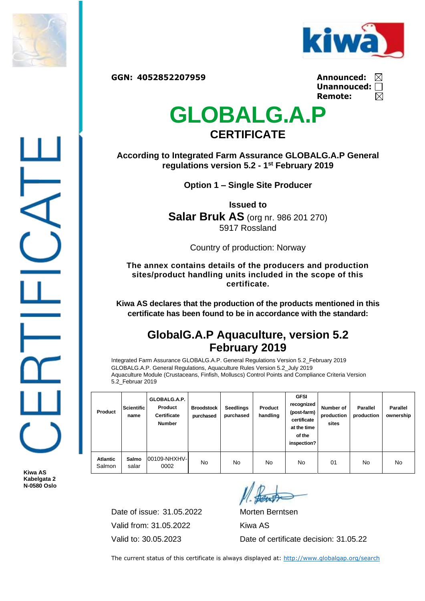



**GGN: 4052852207959 Announced:**

| Announced: $\,\overline{\triangleright}$ |             |
|------------------------------------------|-------------|
| Unannouced: $\Box$                       |             |
| Remote:                                  | $\boxtimes$ |

## **GLOBALG.A.P CERTIFICATE**

**According to Integrated Farm Assurance GLOBALG.A.P General regulations version 5.2 - 1 st February 2019**

**Option 1 – Single Site Producer**

**Issued to Salar Bruk AS** (org nr. 986 201 270) 5917 Rossland

Country of production: Norway

**The annex contains details of the producers and production sites/product handling units included in the scope of this certificate.**

**Kiwa AS declares that the production of the products mentioned in this certificate has been found to be in accordance with the standard:**

## **GlobalG.A.P Aquaculture, version 5.2 February 2019**

Integrated Farm Assurance GLOBALG.A.P. General Regulations Version 5.2\_February 2019 GLOBALG.A.P. General Regulations, Aquaculture Rules Version 5.2\_July 2019 Aquaculture Module (Crustaceans, Finfish, Molluscs) Control Points and Compliance Criteria Version 5.2\_Februar 2019

| Product                   | <b>Scientific</b><br>name | GLOBALG.A.P.<br>Product<br><b>Certificate</b><br><b>Number</b> | <b>Broodstock</b><br>purchased | <b>Seedlings</b><br>purchased | Product<br>handling | <b>GFSI</b><br>recognized<br>(post-farm)<br>certificate<br>at the time<br>of the<br>inspection? | Number of<br>production<br>sites | <b>Parallel</b><br>production | <b>Parallel</b><br>ownership |
|---------------------------|---------------------------|----------------------------------------------------------------|--------------------------------|-------------------------------|---------------------|-------------------------------------------------------------------------------------------------|----------------------------------|-------------------------------|------------------------------|
| <b>Atlantic</b><br>Salmon | Salmo<br>salar            | 00109-NHXHV-<br>0002                                           | No                             | No                            | No.                 | No                                                                                              | 01                               | No                            | No                           |

**Kiwa AS Kabelgata 2 N-0580 Oslo**

> Date of issue: 31.05.2022 Morten Berntsen Valid from: 31.05.2022 Kiwa AS

Valid to: 30.05.2023 Date of certificate decision: 31.05.22

The current status of this certificate is always displayed at:<http://www.globalgap.org/search>